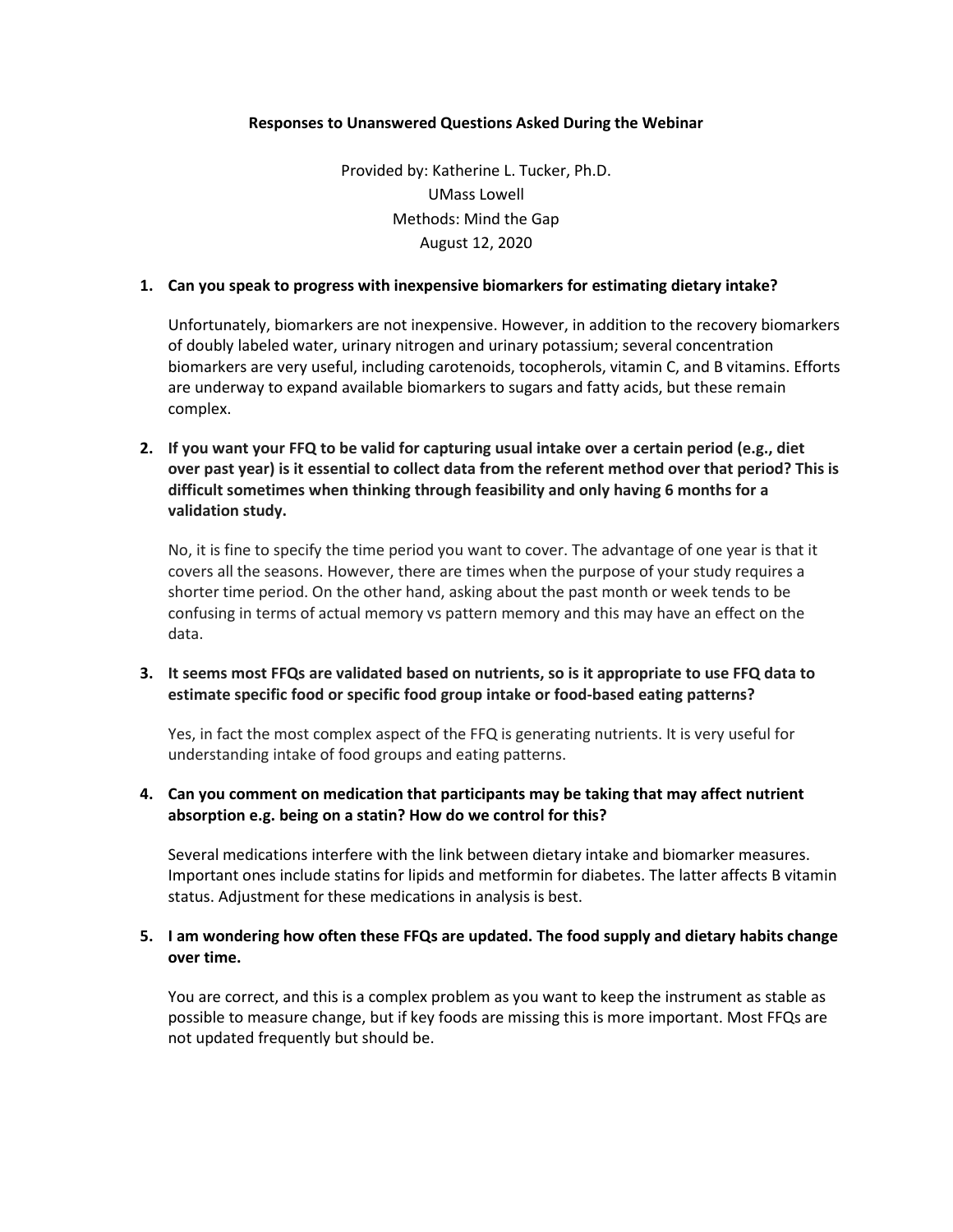#### **Responses to Unanswered Questions Asked During the Webinar**

Provided by: Katherine L. Tucker, Ph.D. UMass Lowell Methods: Mind the Gap August 12, 2020

### **1. Can you speak to progress with inexpensive biomarkers for estimating dietary intake?**

Unfortunately, biomarkers are not inexpensive. However, in addition to the recovery biomarkers of doubly labeled water, urinary nitrogen and urinary potassium; several concentration biomarkers are very useful, including carotenoids, tocopherols, vitamin C, and B vitamins. Efforts are underway to expand available biomarkers to sugars and fatty acids, but these remain complex.

**2. If you want your FFQ to be valid for capturing usual intake over a certain period (e.g., diet over past year) is it essential to collect data from the referent method over that period? This is difficult sometimes when thinking through feasibility and only having 6 months for a validation study.** 

No, it is fine to specify the time period you want to cover. The advantage of one year is that it covers all the seasons. However, there are times when the purpose of your study requires a shorter time period. On the other hand, asking about the past month or week tends to be confusing in terms of actual memory vs pattern memory and this may have an effect on the data.

# **3. It seems most FFQs are validated based on nutrients, so is it appropriate to use FFQ data to estimate specific food or specific food group intake or food-based eating patterns?**

Yes, in fact the most complex aspect of the FFQ is generating nutrients. It is very useful for understanding intake of food groups and eating patterns.

## **4. Can you comment on medication that participants may be taking that may affect nutrient absorption e.g. being on a statin? How do we control for this?**

Several medications interfere with the link between dietary intake and biomarker measures. Important ones include statins for lipids and metformin for diabetes. The latter affects B vitamin status. Adjustment for these medications in analysis is best.

## **5. I am wondering how often these FFQs are updated. The food supply and dietary habits change over time.**

You are correct, and this is a complex problem as you want to keep the instrument as stable as possible to measure change, but if key foods are missing this is more important. Most FFQs are not updated frequently but should be.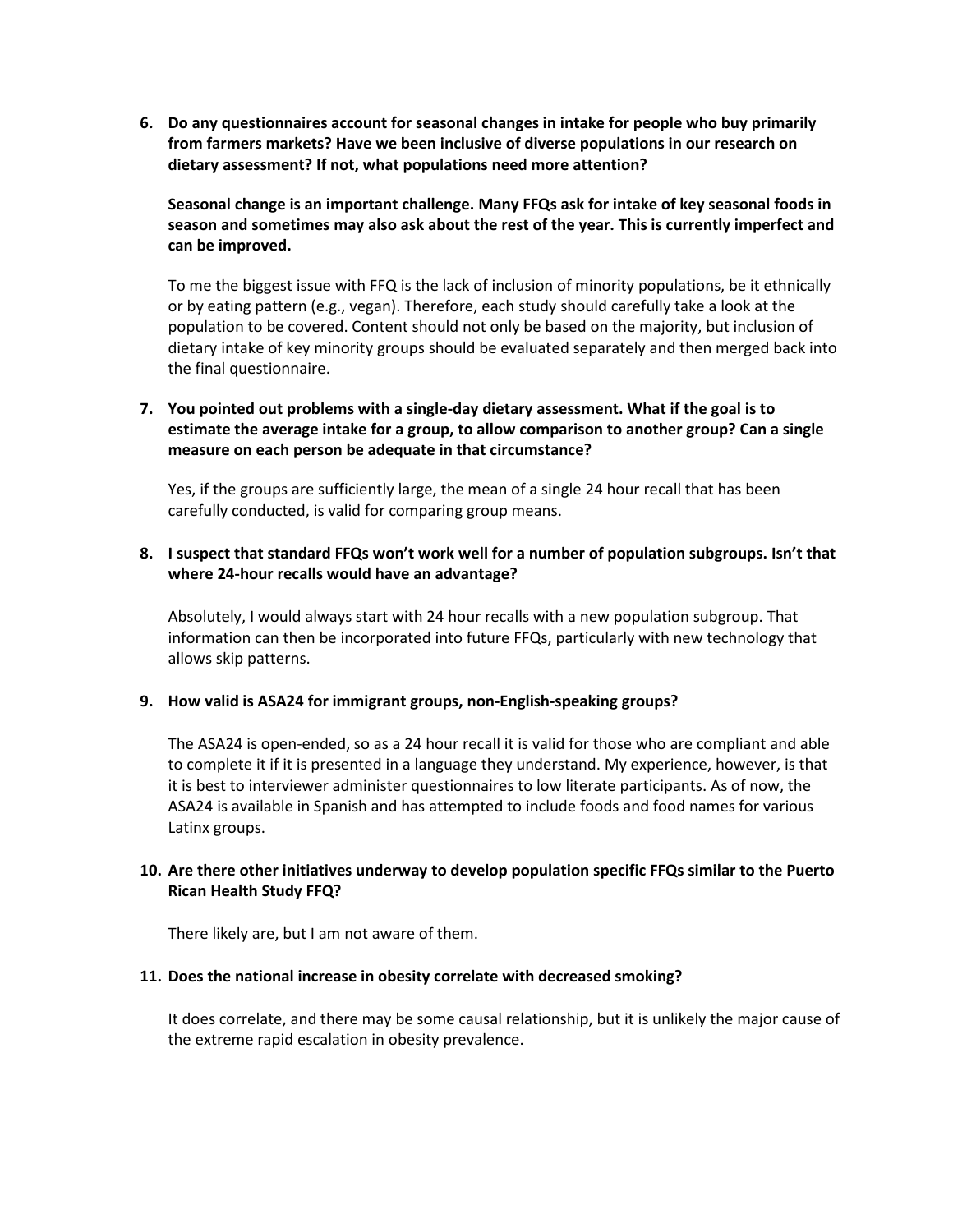**6. Do any questionnaires account for seasonal changes in intake for people who buy primarily from farmers markets? Have we been inclusive of diverse populations in our research on dietary assessment? If not, what populations need more attention?**

**Seasonal change is an important challenge. Many FFQs ask for intake of key seasonal foods in season and sometimes may also ask about the rest of the year. This is currently imperfect and can be improved.** 

To me the biggest issue with FFQ is the lack of inclusion of minority populations, be it ethnically or by eating pattern (e.g., vegan). Therefore, each study should carefully take a look at the population to be covered. Content should not only be based on the majority, but inclusion of dietary intake of key minority groups should be evaluated separately and then merged back into the final questionnaire.

# **7. You pointed out problems with a single-day dietary assessment. What if the goal is to estimate the average intake for a group, to allow comparison to another group? Can a single measure on each person be adequate in that circumstance?**

Yes, if the groups are sufficiently large, the mean of a single 24 hour recall that has been carefully conducted, is valid for comparing group means.

## **8. I suspect that standard FFQs won't work well for a number of population subgroups. Isn't that where 24-hour recalls would have an advantage?**

Absolutely, I would always start with 24 hour recalls with a new population subgroup. That information can then be incorporated into future FFQs, particularly with new technology that allows skip patterns.

## **9. How valid is ASA24 for immigrant groups, non-English-speaking groups?**

The ASA24 is open-ended, so as a 24 hour recall it is valid for those who are compliant and able to complete it if it is presented in a language they understand. My experience, however, is that it is best to interviewer administer questionnaires to low literate participants. As of now, the ASA24 is available in Spanish and has attempted to include foods and food names for various Latinx groups.

## **10. Are there other initiatives underway to develop population specific FFQs similar to the Puerto Rican Health Study FFQ?**

There likely are, but I am not aware of them.

#### **11. Does the national increase in obesity correlate with decreased smoking?**

It does correlate, and there may be some causal relationship, but it is unlikely the major cause of the extreme rapid escalation in obesity prevalence.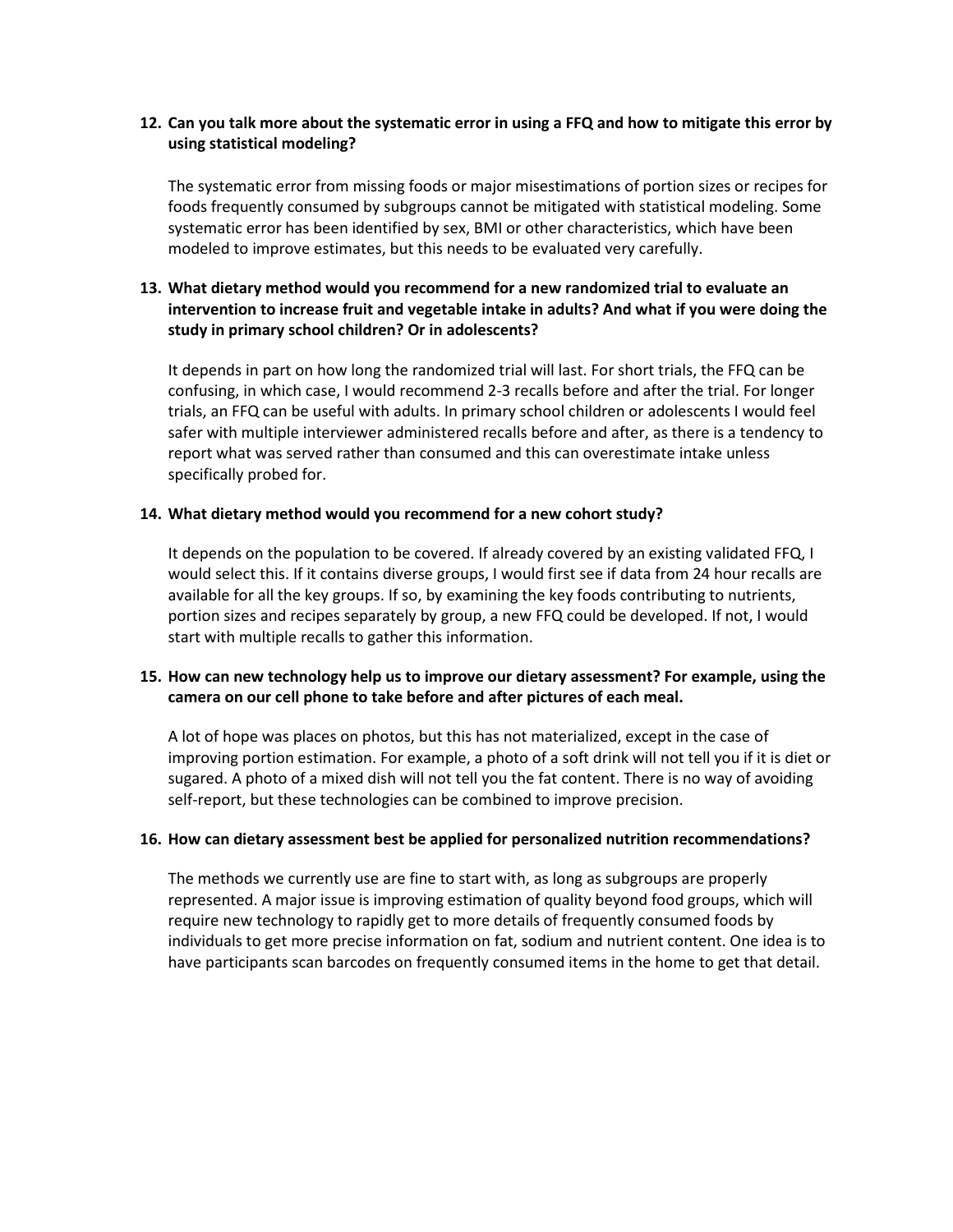## **12. Can you talk more about the systematic error in using a FFQ and how to mitigate this error by using statistical modeling?**

The systematic error from missing foods or major misestimations of portion sizes or recipes for foods frequently consumed by subgroups cannot be mitigated with statistical modeling. Some systematic error has been identified by sex, BMI or other characteristics, which have been modeled to improve estimates, but this needs to be evaluated very carefully.

# **13. What dietary method would you recommend for a new randomized trial to evaluate an intervention to increase fruit and vegetable intake in adults? And what if you were doing the study in primary school children? Or in adolescents?**

It depends in part on how long the randomized trial will last. For short trials, the FFQ can be confusing, in which case, I would recommend 2-3 recalls before and after the trial. For longer trials, an FFQ can be useful with adults. In primary school children or adolescents I would feel safer with multiple interviewer administered recalls before and after, as there is a tendency to report what was served rather than consumed and this can overestimate intake unless specifically probed for.

#### **14. What dietary method would you recommend for a new cohort study?**

It depends on the population to be covered. If already covered by an existing validated FFQ, I would select this. If it contains diverse groups, I would first see if data from 24 hour recalls are available for all the key groups. If so, by examining the key foods contributing to nutrients, portion sizes and recipes separately by group, a new FFQ could be developed. If not, I would start with multiple recalls to gather this information.

# **15. How can new technology help us to improve our dietary assessment? For example, using the camera on our cell phone to take before and after pictures of each meal.**

A lot of hope was places on photos, but this has not materialized, except in the case of improving portion estimation. For example, a photo of a soft drink will not tell you if it is diet or sugared. A photo of a mixed dish will not tell you the fat content. There is no way of avoiding self-report, but these technologies can be combined to improve precision.

#### **16. How can dietary assessment best be applied for personalized nutrition recommendations?**

The methods we currently use are fine to start with, as long as subgroups are properly represented. A major issue is improving estimation of quality beyond food groups, which will require new technology to rapidly get to more details of frequently consumed foods by individuals to get more precise information on fat, sodium and nutrient content. One idea is to have participants scan barcodes on frequently consumed items in the home to get that detail.